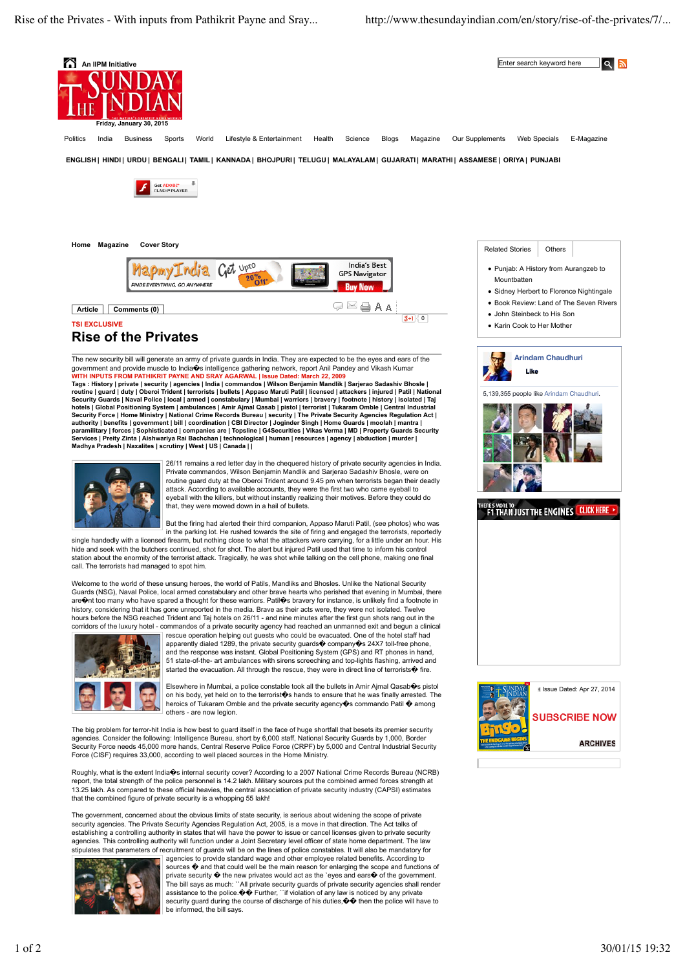